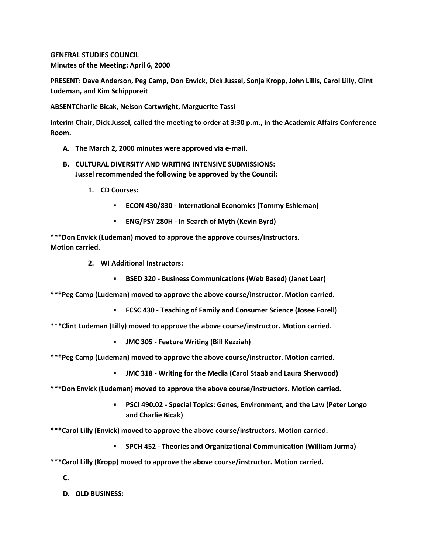**GENERAL STUDIES COUNCIL Minutes of the Meeting: April 6, 2000**

**PRESENT: Dave Anderson, Peg Camp, Don Envick, Dick Jussel, Sonja Kropp, John Lillis, Carol Lilly, Clint Ludeman, and Kim Schipporeit**

**ABSENTCharlie Bicak, Nelson Cartwright, Marguerite Tassi**

**Interim Chair, Dick Jussel, called the meeting to order at 3:30 p.m., in the Academic Affairs Conference Room.**

- **A. The March 2, 2000 minutes were approved via e-mail.**
- **B. CULTURAL DIVERSITY AND WRITING INTENSIVE SUBMISSIONS: Jussel recommended the following be approved by the Council:** 
	- **1. CD Courses:** 
		- **ECON 430/830 - International Economics (Tommy Eshleman)**
		- **ENG/PSY 280H - In Search of Myth (Kevin Byrd)**

**\*\*\*Don Envick (Ludeman) moved to approve the approve courses/instructors. Motion carried.**

- **2. WI Additional Instructors:** 
	- **BSED 320 - Business Communications (Web Based) (Janet Lear)**

**\*\*\*Peg Camp (Ludeman) moved to approve the above course/instructor. Motion carried.** 

**FCSC 430 - Teaching of Family and Consumer Science (Josee Forell)**

**\*\*\*Clint Ludeman (Lilly) moved to approve the above course/instructor. Motion carried.** 

- **JMC 305 - Feature Writing (Bill Kezziah)**
- **\*\*\*Peg Camp (Ludeman) moved to approve the above course/instructor. Motion carried.** 
	- **JMC 318 - Writing for the Media (Carol Staab and Laura Sherwood)**
- **\*\*\*Don Envick (Ludeman) moved to approve the above course/instructors. Motion carried.** 
	- **PSCI 490.02 - Special Topics: Genes, Environment, and the Law (Peter Longo and Charlie Bicak)**

**\*\*\*Carol Lilly (Envick) moved to approve the above course/instructors. Motion carried.** 

- **SPCH 452 - Theories and Organizational Communication (William Jurma)**
- **\*\*\*Carol Lilly (Kropp) moved to approve the above course/instructor. Motion carried.**
	- **C.**
	- **D. OLD BUSINESS:**